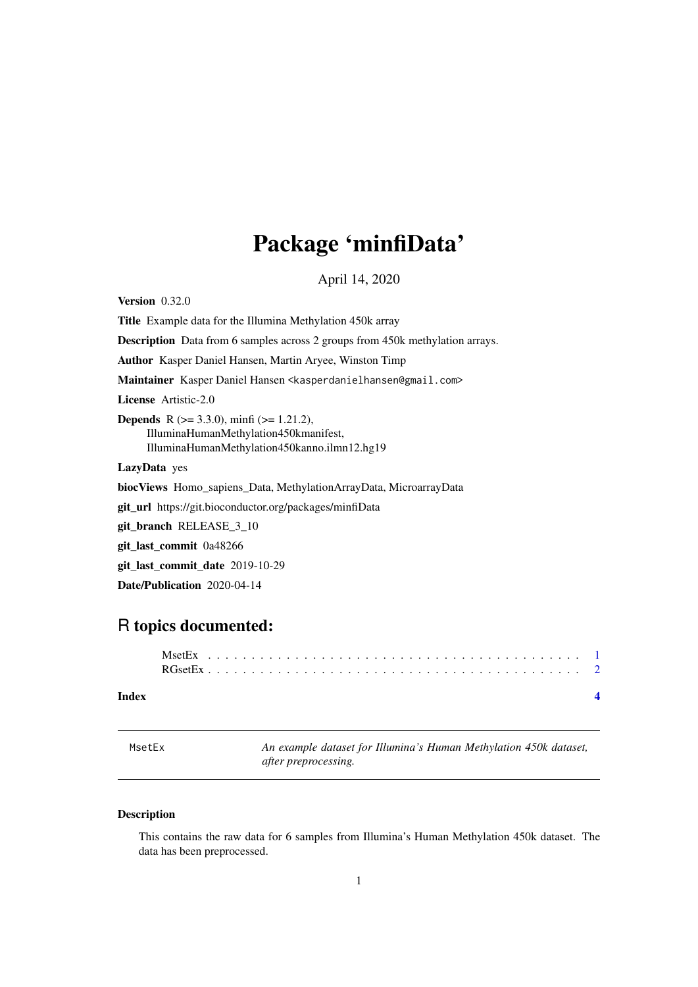## <span id="page-0-0"></span>Package 'minfiData'

April 14, 2020

<span id="page-0-1"></span>**Version** 0.32.0

Title Example data for the Illumina Methylation 450k array Description Data from 6 samples across 2 groups from 450k methylation arrays. Author Kasper Daniel Hansen, Martin Aryee, Winston Timp Maintainer Kasper Daniel Hansen <kasperdanielhansen@gmail.com> License Artistic-2.0 **Depends** R ( $>= 3.3.0$ ), minfi ( $>= 1.21.2$ ), IlluminaHumanMethylation450kmanifest, IlluminaHumanMethylation450kanno.ilmn12.hg19 LazyData yes biocViews Homo\_sapiens\_Data, MethylationArrayData, MicroarrayData git\_url https://git.bioconductor.org/packages/minfiData git\_branch RELEASE\_3\_10 git\_last\_commit 0a48266 git\_last\_commit\_date 2019-10-29 Date/Publication 2020-04-14

### R topics documented:

#### **Index** [4](#page-3-0)

<span id="page-0-2"></span>MsetEx *An example dataset for Illumina's Human Methylation 450k dataset, after preprocessing.*

#### Description

This contains the raw data for 6 samples from Illumina's Human Methylation 450k dataset. The data has been preprocessed.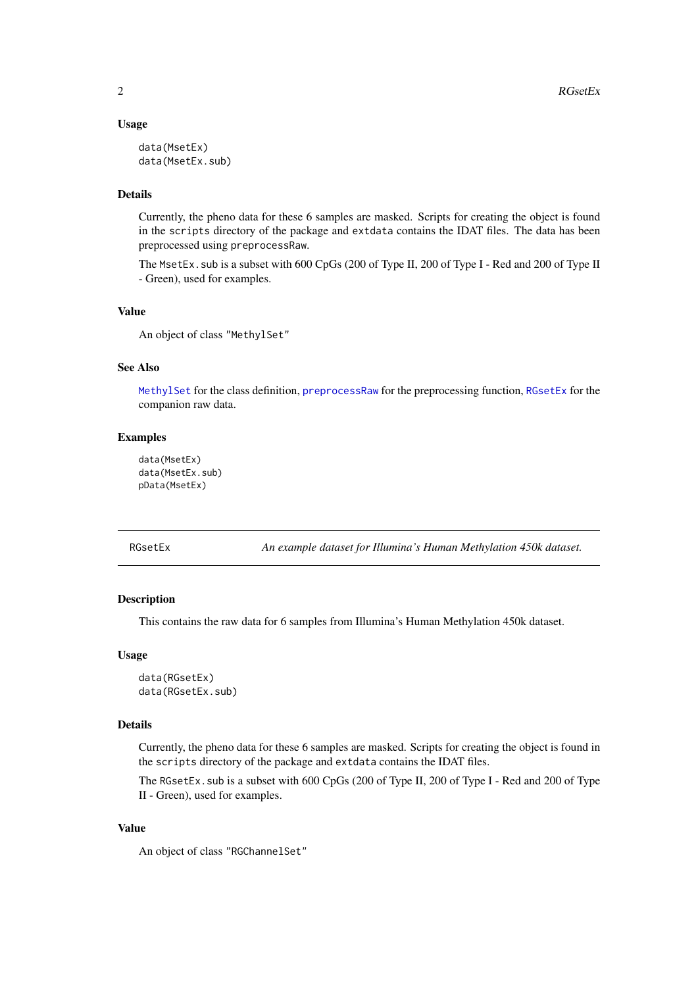#### Usage

```
data(MsetEx)
data(MsetEx.sub)
```
#### Details

Currently, the pheno data for these 6 samples are masked. Scripts for creating the object is found in the scripts directory of the package and extdata contains the IDAT files. The data has been preprocessed using preprocessRaw.

The MsetEx. sub is a subset with 600 CpGs (200 of Type II, 200 of Type I - Red and 200 of Type II - Green), used for examples.

#### Value

An object of class "MethylSet"

#### See Also

[MethylSet](#page-0-1) for the class definition, [preprocessRaw](#page-0-1) for the preprocessing function, [RGsetEx](#page-1-1) for the companion raw data.

#### Examples

```
data(MsetEx)
data(MsetEx.sub)
pData(MsetEx)
```
<span id="page-1-1"></span>RGsetEx *An example dataset for Illumina's Human Methylation 450k dataset.*

#### Description

This contains the raw data for 6 samples from Illumina's Human Methylation 450k dataset.

#### Usage

```
data(RGsetEx)
data(RGsetEx.sub)
```
#### Details

Currently, the pheno data for these 6 samples are masked. Scripts for creating the object is found in the scripts directory of the package and extdata contains the IDAT files.

The RGsetEx.sub is a subset with 600 CpGs (200 of Type II, 200 of Type I - Red and 200 of Type II - Green), used for examples.

#### Value

An object of class "RGChannelSet"

<span id="page-1-0"></span>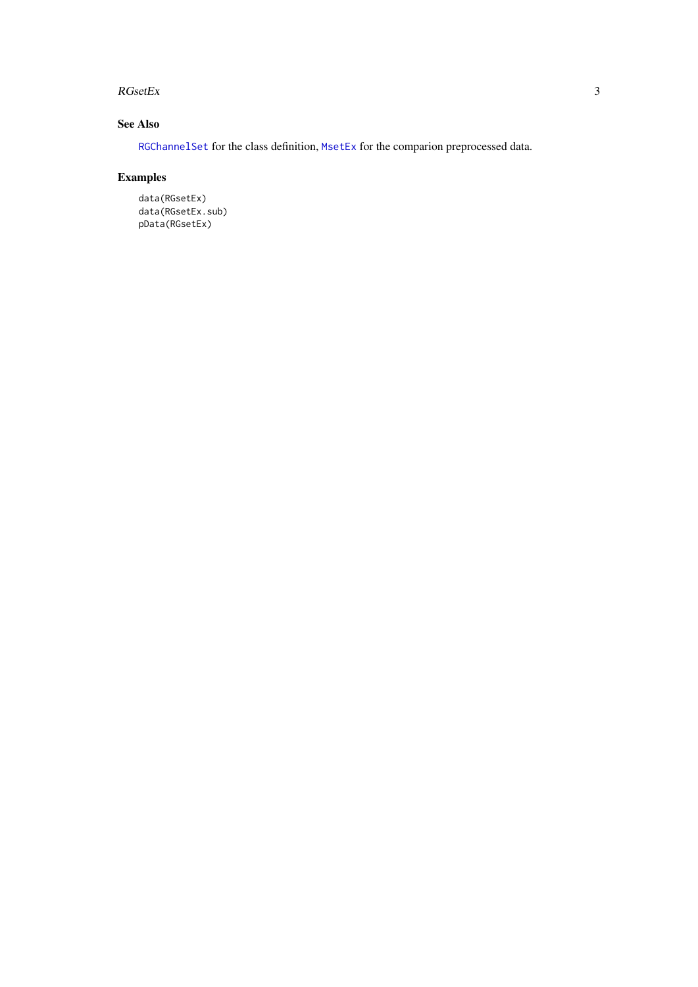#### <span id="page-2-0"></span> $RGsetEx$  3

#### See Also

[RGChannelSet](#page-0-1) for the class definition, [MsetEx](#page-0-2) for the comparion preprocessed data.

#### Examples

```
data(RGsetEx)
data(RGsetEx.sub)
pData(RGsetEx)
```